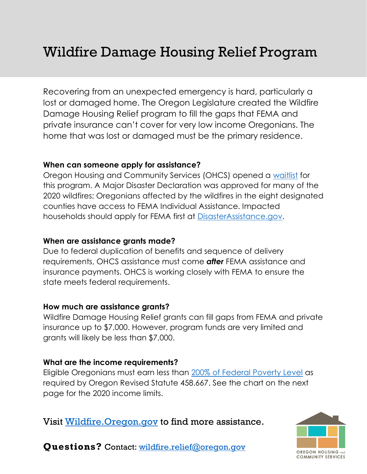Recovering from an unexpected emergency is hard, particularly a lost or damaged home. The Oregon Legislature created the Wildfire Damage Housing Relief program to fill the gaps that FEMA and private insurance can't cover for very low income Oregonians. The home that was lost or damaged must be the primary residence.

### **When can someone apply for assistance?**

Oregon Housing and Community Services (OHCS) opened a [waitlist](https://app.smartsheet.com/b/publish?EQBCT=542c3f8bcaf9421aaf6456ecec3bbed8) for this program. A Major Disaster Declaration was approved for many of the 2020 wildfires; Oregonians affected by the wildfires in the eight designated counties have access to FEMA Individual Assistance. Impacted households should apply for FEMA first at [DisasterAssistance.gov.](file:///C:/Users/nstoenner/AppData/Local/Microsoft/Windows/INetCache/Content.Outlook/3N8KO77B/DisasterAssistance.gov)

### **When are assistance grants made?**

Due to federal duplication of benefits and sequence of delivery requirements, OHCS assistance must come *after* FEMA assistance and insurance payments. OHCS is working closely with FEMA to ensure the state meets federal requirements.

# **How much are assistance grants?**

Wildfire Damage Housing Relief grants can fill gaps from FEMA and private insurance up to \$7,000. However, program funds are very limited and grants will likely be less than \$7,000.

# **What are the income requirements?**

Eligible Oregonians must earn less than [200% of Federal Poverty Level](https://www.oregon.gov/ohcs/for-providers/Documents/wildfire/Federal-Poverty-Level-Chart.pdf) as required by Oregon Revised Statute 458.667. See the chart on the next page for the 2020 income limits.

Visit [Wildfire.Oregon.gov](https://wildfire.oregon.gov/) to find more assistance.



**Questions?** Contact: [wildfire.relief@oregon.gov](mailto:wildfire.relief@oregon.gov)